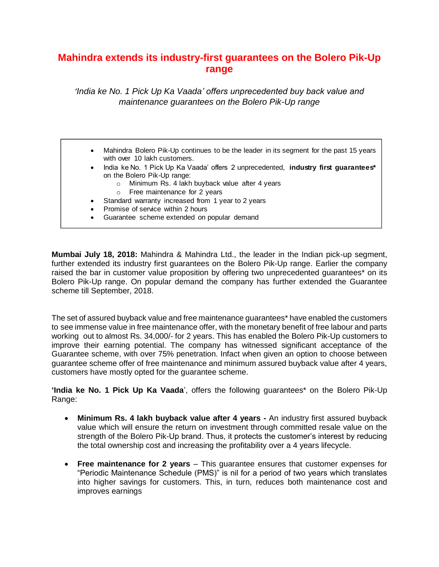## **Mahindra extends its industry-first guarantees on the Bolero Pik-Up range**

*'India ke No. 1 Pick Up Ka Vaada' offers unprecedented buy back value and maintenance guarantees on the Bolero Pik-Up range*

- • Mahindra Bolero Pik-Up continues to be the leader in its segment for the past 15 years with over 10 lakh customers.
- • India ke No. 1 Pick Up Ka Vaada' offers 2 unprecedented, **industry first guarantees\*** on the Bolero Pik-Up range:
	- <sup>o</sup> Minimum Rs. 4 lakh buyback value after 4 years
	- <sup>o</sup> Free maintenance for 2 years
- Standard warranty increased from 1 year to 2 years
- Promise of service within 2 hours
- •Guarantee scheme extended on popular demand

**Mumbai July 18, 2018:** Mahindra & Mahindra Ltd., the leader in the Indian pick-up segment, further extended its industry first guarantees on the Bolero Pik-Up range. Earlier the company raised the bar in customer value proposition by offering two unprecedented guarantees\* on its Bolero Pik-Up range. On popular demand the company has further extended the Guarantee scheme till September, 2018.

The set of assured buyback value and free maintenance guarantees\* have enabled the customers to see immense value in free maintenance offer, with the monetary benefit of free labour and parts working out to almost Rs. 34,000/- for 2 years. This has enabled the Bolero Pik-Up customers to improve their earning potential. The company has witnessed significant acceptance of the Guarantee scheme, with over 75% penetration. Infact when given an option to choose between guarantee scheme offer of free maintenance and minimum assured buyback value after 4 years, customers have mostly opted for the guarantee scheme.

**'India ke No. 1 Pick Up Ka Vaada**', offers the following guarantees\* on the Bolero Pik-Up Range:

- **Minimum Rs. 4 lakh buyback value after 4 years -** An industry first assured buyback value which will ensure the return on investment through committed resale value on the strength of the Bolero Pik-Up brand. Thus, it protects the customer's interest by reducing the total ownership cost and increasing the profitability over a 4 years lifecycle.
- **Free maintenance for 2 years** This guarantee ensures that customer expenses for "Periodic Maintenance Schedule (PMS)" is nil for a period of two years which translates into higher savings for customers. This, in turn, reduces both maintenance cost and improves earnings